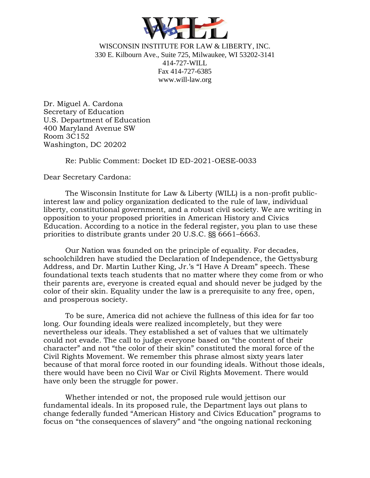

WISCONSIN INSTITUTE FOR LAW & LIBERTY, INC. 330 E. Kilbourn Ave., Suite 725, Milwaukee, WI 53202-3141 414-727-WILL Fax 414-727-6385 www.will-law.org

Dr. Miguel A. Cardona Secretary of Education U.S. Department of Education 400 Maryland Avenue SW Room 3C152 Washington, DC 20202

Re: Public Comment: Docket ID ED-2021-OESE-0033

Dear Secretary Cardona:

The Wisconsin Institute for Law & Liberty (WILL) is a non-profit publicinterest law and policy organization dedicated to the rule of law, individual liberty, constitutional government, and a robust civil society. We are writing in opposition to your proposed priorities in American History and Civics Education. According to a notice in the federal register, you plan to use these priorities to distribute grants under 20 U.S.C. §§ 6661–6663.

Our Nation was founded on the principle of equality. For decades, schoolchildren have studied the Declaration of Independence, the Gettysburg Address, and Dr. Martin Luther King, Jr.'s "I Have A Dream" speech. These foundational texts teach students that no matter where they come from or who their parents are, everyone is created equal and should never be judged by the color of their skin. Equality under the law is a prerequisite to any free, open, and prosperous society.

To be sure, America did not achieve the fullness of this idea for far too long. Our founding ideals were realized incompletely, but they were nevertheless our ideals. They established a set of values that we ultimately could not evade. The call to judge everyone based on "the content of their character" and not "the color of their skin" constituted the moral force of the Civil Rights Movement. We remember this phrase almost sixty years later because of that moral force rooted in our founding ideals. Without those ideals, there would have been no Civil War or Civil Rights Movement. There would have only been the struggle for power.

Whether intended or not, the proposed rule would jettison our fundamental ideals. In its proposed rule, the Department lays out plans to change federally funded "American History and Civics Education" programs to focus on "the consequences of slavery" and "the ongoing national reckoning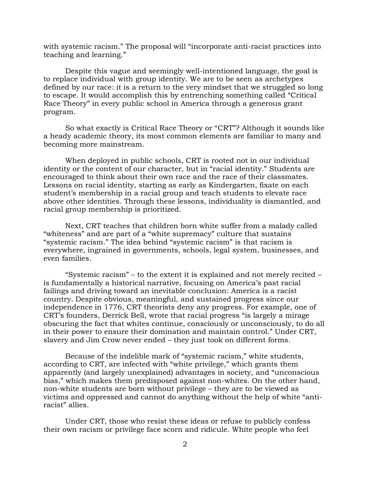with systemic racism." The proposal will "incorporate anti-racist practices into teaching and learning."

Despite this vague and seemingly well-intentioned language, the goal is to replace individual with group identity. We are to be seen as archetypes defined by our race: it is a return to the very mindset that we struggled so long to escape. It would accomplish this by entrenching something called "Critical Race Theory" in every public school in America through a generous grant program.

So what exactly is Critical Race Theory or "CRT"? Although it sounds like a heady academic theory, its most common elements are familiar to many and becoming more mainstream.

When deployed in public schools, CRT is rooted not in our individual identity or the content of our character, but in "racial identity." Students are encouraged to think about their own race and the race of their classmates. Lessons on racial identity, starting as early as Kindergarten, fixate on each student's membership in a racial group and teach students to elevate race above other identities. Through these lessons, individuality is dismantled, and racial group membership is prioritized.

Next, CRT teaches that children born white suffer from a malady called "whiteness" and are part of a "white supremacy" culture that sustains "systemic racism." The idea behind "systemic racism" is that racism is everywhere, ingrained in governments, schools, legal system, businesses, and even families.

"Systemic racism" – to the extent it is explained and not merely recited – is fundamentally a historical narrative, focusing on America's past racial failings and driving toward an inevitable conclusion: America is a racist country. Despite obvious, meaningful, and sustained progress since our independence in 1776, CRT theorists deny any progress. For example, one of CRT's founders, Derrick Bell, wrote that racial progress "is largely a mirage obscuring the fact that whites continue, consciously or unconsciously, to do all in their power to ensure their domination and maintain control." Under CRT, slavery and Jim Crow never ended – they just took on different forms.

Because of the indelible mark of "systemic racism," white students, according to CRT, are infected with "white privilege," which grants them apparently (and largely unexplained) advantages in society, and "unconscious bias," which makes them predisposed against non-whites. On the other hand, non-white students are born without privilege – they are to be viewed as victims and oppressed and cannot do anything without the help of white "antiracist" allies.

Under CRT, those who resist these ideas or refuse to publicly confess their own racism or privilege face scorn and ridicule. White people who feel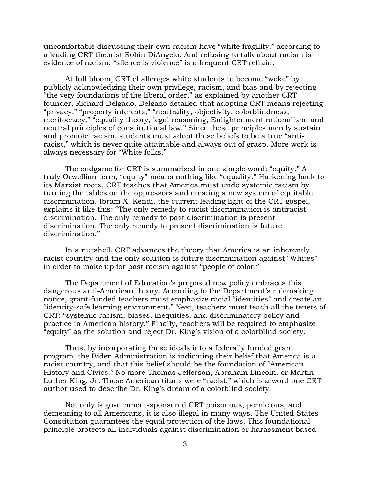uncomfortable discussing their own racism have "white fragility," according to a leading CRT theorist Robin DiAngelo. And refusing to talk about racism is evidence of racism: "silence is violence" is a frequent CRT refrain.

At full bloom, CRT challenges white students to become "woke" by publicly acknowledging their own privilege, racism, and bias and by rejecting "the very foundations of the liberal order," as explained by another CRT founder, Richard Delgado. Delgado detailed that adopting CRT means rejecting "privacy," "property interests," "neutrality, objectivity, colorblindness, meritocracy," "equality theory, legal reasoning, Enlightenment rationalism, and neutral principles of constitutional law." Since these principles merely sustain and promote racism, students must adopt these beliefs to be a true "antiracist," which is never quite attainable and always out of grasp. More work is always necessary for "White folks."

The endgame for CRT is summarized in one simple word: "equity." A truly Orwellian term, "equity" means nothing like "equality." Harkening back to its Marxist roots, CRT teaches that America must undo systemic racism by turning the tables on the oppressors and creating a new system of equitable discrimination. Ibram X. Kendi, the current leading light of the CRT gospel, explains it like this: "The only remedy to racist discrimination is antiracist discrimination. The only remedy to past discrimination is present discrimination. The only remedy to present discrimination is future discrimination."

In a nutshell, CRT advances the theory that America is an inherently racist country and the only solution is future discrimination against "Whites" in order to make up for past racism against "people of color."

The Department of Education's proposed new policy embraces this dangerous anti-American theory. According to the Department's rulemaking notice, grant-funded teachers must emphasize racial "identities" and create an "identity-safe learning environment." Next, teachers must teach all the tenets of CRT: "systemic racism, biases, inequities, and discriminatory policy and practice in American history." Finally, teachers will be required to emphasize "equity" as the solution and reject Dr. King's vision of a colorblind society.

Thus, by incorporating these ideals into a federally funded grant program, the Biden Administration is indicating their belief that America is a racist country, and that this belief should be the foundation of "American History and Civics." No more Thomas Jefferson, Abraham Lincoln, or Martin Luther King, Jr. Those American titans were "racist," which is a word one CRT author used to describe Dr. King's dream of a colorblind society.

Not only is government-sponsored CRT poisonous, pernicious, and demeaning to all Americans, it is also illegal in many ways. The United States Constitution guarantees the equal protection of the laws. This foundational principle protects all individuals against discrimination or harassment based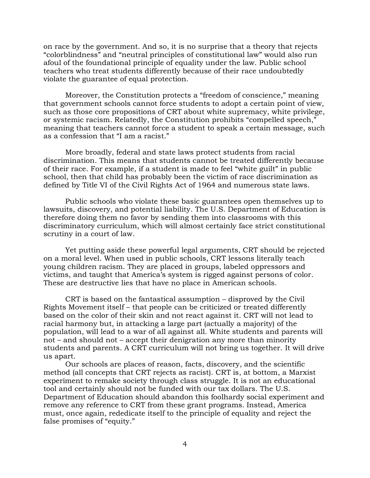on race by the government. And so, it is no surprise that a theory that rejects "colorblindness" and "neutral principles of constitutional law" would also run afoul of the foundational principle of equality under the law. Public school teachers who treat students differently because of their race undoubtedly violate the guarantee of equal protection.

Moreover, the Constitution protects a "freedom of conscience," meaning that government schools cannot force students to adopt a certain point of view, such as those core propositions of CRT about white supremacy, white privilege, or systemic racism. Relatedly, the Constitution prohibits "compelled speech," meaning that teachers cannot force a student to speak a certain message, such as a confession that "I am a racist."

More broadly, federal and state laws protect students from racial discrimination. This means that students cannot be treated differently because of their race. For example, if a student is made to feel "white guilt" in public school, then that child has probably been the victim of race discrimination as defined by Title VI of the Civil Rights Act of 1964 and numerous state laws.

Public schools who violate these basic guarantees open themselves up to lawsuits, discovery, and potential liability. The U.S. Department of Education is therefore doing them no favor by sending them into classrooms with this discriminatory curriculum, which will almost certainly face strict constitutional scrutiny in a court of law.

Yet putting aside these powerful legal arguments, CRT should be rejected on a moral level. When used in public schools, CRT lessons literally teach young children racism. They are placed in groups, labeled oppressors and victims, and taught that America's system is rigged against persons of color. These are destructive lies that have no place in American schools.

CRT is based on the fantastical assumption – disproved by the Civil Rights Movement itself – that people can be criticized or treated differently based on the color of their skin and not react against it. CRT will not lead to racial harmony but, in attacking a large part (actually a majority) of the population, will lead to a war of all against all. White students and parents will not – and should not – accept their denigration any more than minority students and parents. A CRT curriculum will not bring us together. It will drive us apart.

Our schools are places of reason, facts, discovery, and the scientific method (all concepts that CRT rejects as racist). CRT is, at bottom, a Marxist experiment to remake society through class struggle. It is not an educational tool and certainly should not be funded with our tax dollars. The U.S. Department of Education should abandon this foolhardy social experiment and remove any reference to CRT from these grant programs. Instead, America must, once again, rededicate itself to the principle of equality and reject the false promises of "equity."